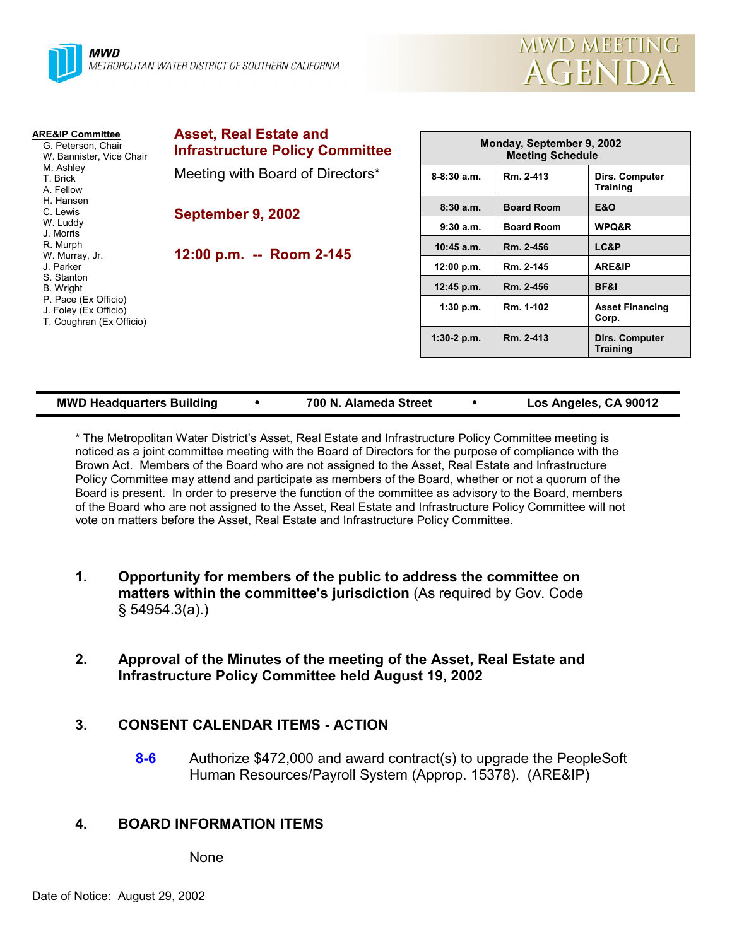

| <b>ARE&amp;IP Committee</b><br>G. Peterson, Chair<br>W. Bannister, Vice Chair<br>M. Ashley<br>T. Brick<br>A. Fellow<br>H. Hansen<br>C. Lewis<br>W. Luddy<br>J. Morris<br>R. Murph<br>W. Murray, Jr.<br>J. Parker<br>S. Stanton<br>B. Wright<br>P. Pace (Ex Officio)<br>J. Foley (Ex Officio)<br>T. Coughran (Ex Officio) | <b>Asset, Real Estate and</b><br><b>Infrastructure Policy Committee</b> | Monday, September 9, 2002<br><b>Meeting Schedule</b> |                   |                                   |  |
|--------------------------------------------------------------------------------------------------------------------------------------------------------------------------------------------------------------------------------------------------------------------------------------------------------------------------|-------------------------------------------------------------------------|------------------------------------------------------|-------------------|-----------------------------------|--|
|                                                                                                                                                                                                                                                                                                                          | Meeting with Board of Directors*                                        | $8-8:30$ a.m.                                        | Rm. 2-413         | Dirs. Computer<br><b>Training</b> |  |
|                                                                                                                                                                                                                                                                                                                          | September 9, 2002<br>12:00 p.m. -- Room 2-145                           | 8:30a.m.                                             | <b>Board Room</b> | <b>E&amp;O</b>                    |  |
|                                                                                                                                                                                                                                                                                                                          |                                                                         | 9:30a.m.                                             | <b>Board Room</b> | WPQ&R                             |  |
|                                                                                                                                                                                                                                                                                                                          |                                                                         | $10:45$ a.m.                                         | Rm. 2-456         | LC&P                              |  |
|                                                                                                                                                                                                                                                                                                                          |                                                                         | 12:00 p.m.                                           | Rm. 2-145         | ARE&IP                            |  |
|                                                                                                                                                                                                                                                                                                                          |                                                                         | 12:45 p.m.                                           | Rm. 2-456         | BF&I                              |  |
|                                                                                                                                                                                                                                                                                                                          |                                                                         | 1:30 p.m.                                            | Rm. 1-102         | <b>Asset Financing</b><br>Corp.   |  |
|                                                                                                                                                                                                                                                                                                                          |                                                                         | $1:30-2$ p.m.                                        | Rm. 2-413         | Dirs. Computer<br><b>Training</b> |  |

| <b>MWD Headquarters Building</b> |  | 700 N. Alameda Street |  | Los Angeles, CA 90012 |
|----------------------------------|--|-----------------------|--|-----------------------|
|----------------------------------|--|-----------------------|--|-----------------------|

\* The Metropolitan Water Districtís Asset, Real Estate and Infrastructure Policy Committee meeting is noticed as a joint committee meeting with the Board of Directors for the purpose of compliance with the Brown Act. Members of the Board who are not assigned to the Asset, Real Estate and Infrastructure Policy Committee may attend and participate as members of the Board, whether or not a quorum of the Board is present. In order to preserve the function of the committee as advisory to the Board, members of the Board who are not assigned to the Asset, Real Estate and Infrastructure Policy Committee will not vote on matters before the Asset, Real Estate and Infrastructure Policy Committee.

- **1. Opportunity for members of the public to address the committee on matters within the committee's jurisdiction** (As required by Gov. Code ß 54954.3(a).)
- **2. Approval of the Minutes of the meeting of the Asset, Real Estate and Infrastructure Policy Committee held August 19, 2002**

## **3. CONSENT CALENDAR ITEMS - ACTION**

**8-6** Authorize \$472,000 and award contract(s) to upgrade the PeopleSoft Human Resources/Payroll System (Approp. 15378). (ARE&IP)

# **4. BOARD INFORMATION ITEMS**

None